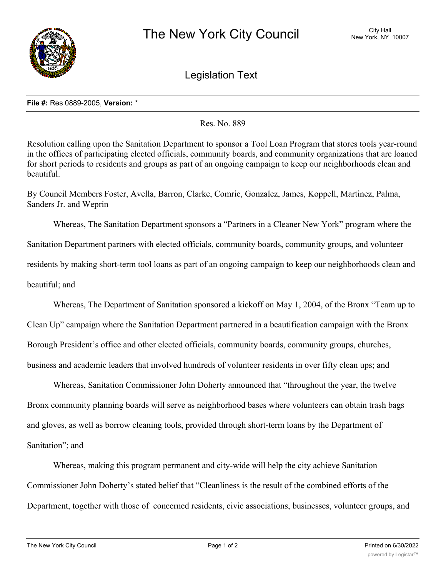

Legislation Text

## **File #:** Res 0889-2005, **Version:** \*

Res. No. 889

Resolution calling upon the Sanitation Department to sponsor a Tool Loan Program that stores tools year-round in the offices of participating elected officials, community boards, and community organizations that are loaned for short periods to residents and groups as part of an ongoing campaign to keep our neighborhoods clean and beautiful.

By Council Members Foster, Avella, Barron, Clarke, Comrie, Gonzalez, James, Koppell, Martinez, Palma, Sanders Jr. and Weprin

Whereas, The Sanitation Department sponsors a "Partners in a Cleaner New York" program where the Sanitation Department partners with elected officials, community boards, community groups, and volunteer residents by making short-term tool loans as part of an ongoing campaign to keep our neighborhoods clean and beautiful; and

Whereas, The Department of Sanitation sponsored a kickoff on May 1, 2004, of the Bronx "Team up to Clean Up" campaign where the Sanitation Department partnered in a beautification campaign with the Bronx Borough President's office and other elected officials, community boards, community groups, churches, business and academic leaders that involved hundreds of volunteer residents in over fifty clean ups; and

Whereas, Sanitation Commissioner John Doherty announced that "throughout the year, the twelve Bronx community planning boards will serve as neighborhood bases where volunteers can obtain trash bags and gloves, as well as borrow cleaning tools, provided through short-term loans by the Department of Sanitation"; and

Whereas, making this program permanent and city-wide will help the city achieve Sanitation Commissioner John Doherty's stated belief that "Cleanliness is the result of the combined efforts of the Department, together with those of concerned residents, civic associations, businesses, volunteer groups, and